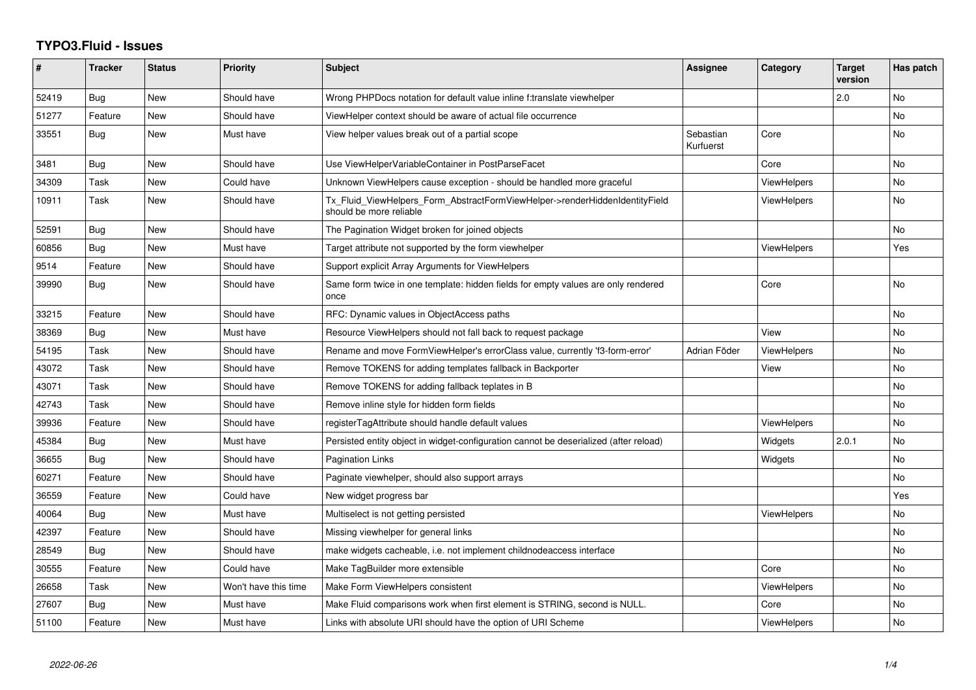## **TYPO3.Fluid - Issues**

| #     | <b>Tracker</b> | <b>Status</b> | <b>Priority</b>      | <b>Subject</b>                                                                                         | Assignee               | Category           | <b>Target</b><br>version | Has patch      |
|-------|----------------|---------------|----------------------|--------------------------------------------------------------------------------------------------------|------------------------|--------------------|--------------------------|----------------|
| 52419 | Bug            | <b>New</b>    | Should have          | Wrong PHPDocs notation for default value inline f:translate viewhelper                                 |                        |                    | 2.0                      | <b>No</b>      |
| 51277 | Feature        | New           | Should have          | ViewHelper context should be aware of actual file occurrence                                           |                        |                    |                          | No             |
| 33551 | <b>Bug</b>     | New           | Must have            | View helper values break out of a partial scope                                                        | Sebastian<br>Kurfuerst | Core               |                          | No             |
| 3481  | Bug            | New           | Should have          | Use ViewHelperVariableContainer in PostParseFacet                                                      |                        | Core               |                          | No             |
| 34309 | Task           | New           | Could have           | Unknown ViewHelpers cause exception - should be handled more graceful                                  |                        | <b>ViewHelpers</b> |                          | <b>No</b>      |
| 10911 | Task           | New           | Should have          | Tx_Fluid_ViewHelpers_Form_AbstractFormViewHelper->renderHiddenIdentityField<br>should be more reliable |                        | ViewHelpers        |                          | No             |
| 52591 | Bug            | New           | Should have          | The Pagination Widget broken for joined objects                                                        |                        |                    |                          | N <sub>o</sub> |
| 60856 | Bug            | <b>New</b>    | Must have            | Target attribute not supported by the form viewhelper                                                  |                        | <b>ViewHelpers</b> |                          | Yes            |
| 9514  | Feature        | New           | Should have          | Support explicit Array Arguments for ViewHelpers                                                       |                        |                    |                          |                |
| 39990 | Bug            | New           | Should have          | Same form twice in one template: hidden fields for empty values are only rendered<br>once              |                        | Core               |                          | No             |
| 33215 | Feature        | New           | Should have          | RFC: Dynamic values in ObjectAccess paths                                                              |                        |                    |                          | <b>No</b>      |
| 38369 | Bug            | New           | Must have            | Resource ViewHelpers should not fall back to request package                                           |                        | View               |                          | <b>No</b>      |
| 54195 | Task           | New           | Should have          | Rename and move FormViewHelper's errorClass value, currently 'f3-form-error'                           | Adrian Föder           | <b>ViewHelpers</b> |                          | <b>No</b>      |
| 43072 | Task           | <b>New</b>    | Should have          | Remove TOKENS for adding templates fallback in Backporter                                              |                        | View               |                          | No             |
| 43071 | Task           | New           | Should have          | Remove TOKENS for adding fallback teplates in B                                                        |                        |                    |                          | No             |
| 42743 | Task           | New           | Should have          | Remove inline style for hidden form fields                                                             |                        |                    |                          | N <sub>o</sub> |
| 39936 | Feature        | New           | Should have          | registerTagAttribute should handle default values                                                      |                        | <b>ViewHelpers</b> |                          | <b>No</b>      |
| 45384 | Bug            | New           | Must have            | Persisted entity object in widget-configuration cannot be deserialized (after reload)                  |                        | Widgets            | 2.0.1                    | <b>No</b>      |
| 36655 | Bug            | New           | Should have          | Pagination Links                                                                                       |                        | Widgets            |                          | No             |
| 60271 | Feature        | <b>New</b>    | Should have          | Paginate viewhelper, should also support arrays                                                        |                        |                    |                          | <b>No</b>      |
| 36559 | Feature        | New           | Could have           | New widget progress bar                                                                                |                        |                    |                          | Yes            |
| 40064 | Bug            | New           | Must have            | Multiselect is not getting persisted                                                                   |                        | <b>ViewHelpers</b> |                          | <b>No</b>      |
| 42397 | Feature        | New           | Should have          | Missing viewhelper for general links                                                                   |                        |                    |                          | No             |
| 28549 | Bug            | New           | Should have          | make widgets cacheable, i.e. not implement childnodeaccess interface                                   |                        |                    |                          | <b>No</b>      |
| 30555 | Feature        | New           | Could have           | Make TagBuilder more extensible                                                                        |                        | Core               |                          | No             |
| 26658 | Task           | New           | Won't have this time | Make Form ViewHelpers consistent                                                                       |                        | <b>ViewHelpers</b> |                          | <b>No</b>      |
| 27607 | Bug            | New           | Must have            | Make Fluid comparisons work when first element is STRING, second is NULL.                              |                        | Core               |                          | No             |
| 51100 | Feature        | <b>New</b>    | Must have            | Links with absolute URI should have the option of URI Scheme                                           |                        | <b>ViewHelpers</b> |                          | No.            |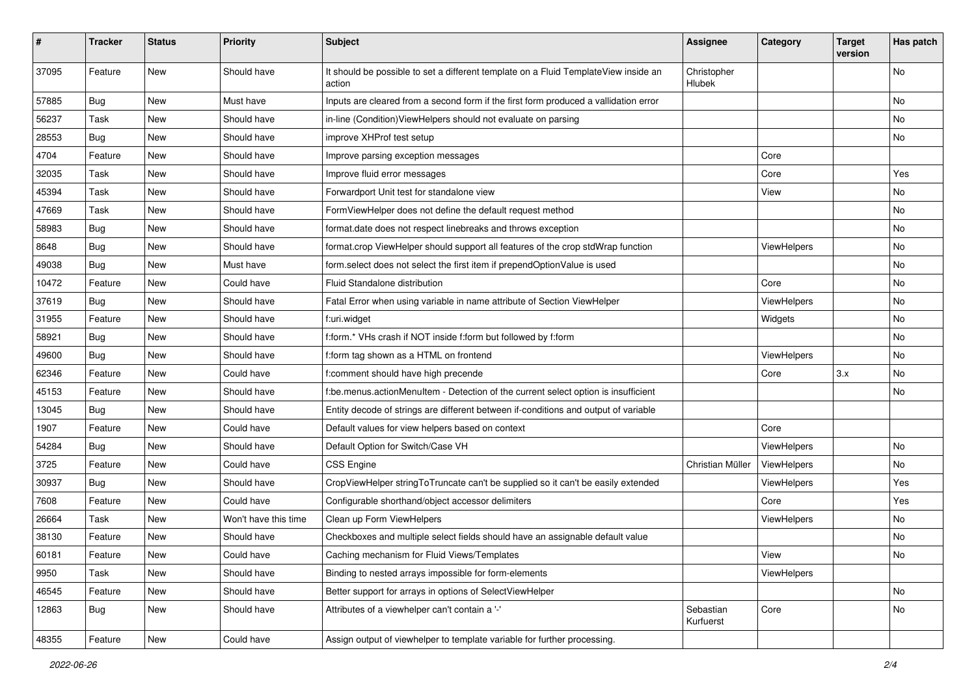| #     | <b>Tracker</b> | <b>Status</b> | Priority             | <b>Subject</b>                                                                                | <b>Assignee</b>        | Category    | <b>Target</b><br>version | Has patch |
|-------|----------------|---------------|----------------------|-----------------------------------------------------------------------------------------------|------------------------|-------------|--------------------------|-----------|
| 37095 | Feature        | New           | Should have          | It should be possible to set a different template on a Fluid TemplateView inside an<br>action | Christopher<br>Hlubek  |             |                          | <b>No</b> |
| 57885 | Bug            | New           | Must have            | Inputs are cleared from a second form if the first form produced a vallidation error          |                        |             |                          | <b>No</b> |
| 56237 | Task           | New           | Should have          | in-line (Condition) View Helpers should not evaluate on parsing                               |                        |             |                          | <b>No</b> |
| 28553 | Bug            | New           | Should have          | improve XHProf test setup                                                                     |                        |             |                          | No        |
| 4704  | Feature        | <b>New</b>    | Should have          | Improve parsing exception messages                                                            |                        | Core        |                          |           |
| 32035 | Task           | New           | Should have          | Improve fluid error messages                                                                  |                        | Core        |                          | Yes       |
| 45394 | Task           | New           | Should have          | Forwardport Unit test for standalone view                                                     |                        | View        |                          | No        |
| 47669 | Task           | <b>New</b>    | Should have          | FormViewHelper does not define the default request method                                     |                        |             |                          | No        |
| 58983 | Bug            | New           | Should have          | format.date does not respect linebreaks and throws exception                                  |                        |             |                          | No        |
| 8648  | Bug            | New           | Should have          | format.crop ViewHelper should support all features of the crop stdWrap function               |                        | ViewHelpers |                          | <b>No</b> |
| 49038 | Bug            | New           | Must have            | form.select does not select the first item if prependOptionValue is used                      |                        |             |                          | No        |
| 10472 | Feature        | New           | Could have           | Fluid Standalone distribution                                                                 |                        | Core        |                          | No        |
| 37619 | Bug            | New           | Should have          | Fatal Error when using variable in name attribute of Section ViewHelper                       |                        | ViewHelpers |                          | No        |
| 31955 | Feature        | New           | Should have          | f:uri.widget                                                                                  |                        | Widgets     |                          | No        |
| 58921 | Bug            | New           | Should have          | f:form.* VHs crash if NOT inside f:form but followed by f:form                                |                        |             |                          | No        |
| 49600 | Bug            | New           | Should have          | f:form tag shown as a HTML on frontend                                                        |                        | ViewHelpers |                          | No        |
| 62346 | Feature        | New           | Could have           | f:comment should have high precende                                                           |                        | Core        | 3.x                      | No        |
| 45153 | Feature        | <b>New</b>    | Should have          | f:be.menus.actionMenuItem - Detection of the current select option is insufficient            |                        |             |                          | <b>No</b> |
| 13045 | Bug            | New           | Should have          | Entity decode of strings are different between if-conditions and output of variable           |                        |             |                          |           |
| 1907  | Feature        | New           | Could have           | Default values for view helpers based on context                                              |                        | Core        |                          |           |
| 54284 | Bug            | New           | Should have          | Default Option for Switch/Case VH                                                             |                        | ViewHelpers |                          | No        |
| 3725  | Feature        | New           | Could have           | <b>CSS Engine</b>                                                                             | Christian Müller       | ViewHelpers |                          | No        |
| 30937 | Bug            | <b>New</b>    | Should have          | CropViewHelper stringToTruncate can't be supplied so it can't be easily extended              |                        | ViewHelpers |                          | Yes       |
| 7608  | Feature        | New           | Could have           | Configurable shorthand/object accessor delimiters                                             |                        | Core        |                          | Yes       |
| 26664 | Task           | New           | Won't have this time | Clean up Form ViewHelpers                                                                     |                        | ViewHelpers |                          | No        |
| 38130 | Feature        | New           | Should have          | Checkboxes and multiple select fields should have an assignable default value                 |                        |             |                          | No        |
| 60181 | Feature        | New           | Could have           | Caching mechanism for Fluid Views/Templates                                                   |                        | View        |                          | No        |
| 9950  | Task           | New           | Should have          | Binding to nested arrays impossible for form-elements                                         |                        | ViewHelpers |                          |           |
| 46545 | Feature        | New           | Should have          | Better support for arrays in options of SelectViewHelper                                      |                        |             |                          | No        |
| 12863 | <b>Bug</b>     | New           | Should have          | Attributes of a viewhelper can't contain a '-'                                                | Sebastian<br>Kurfuerst | Core        |                          | No        |
| 48355 | Feature        | New           | Could have           | Assign output of viewhelper to template variable for further processing.                      |                        |             |                          |           |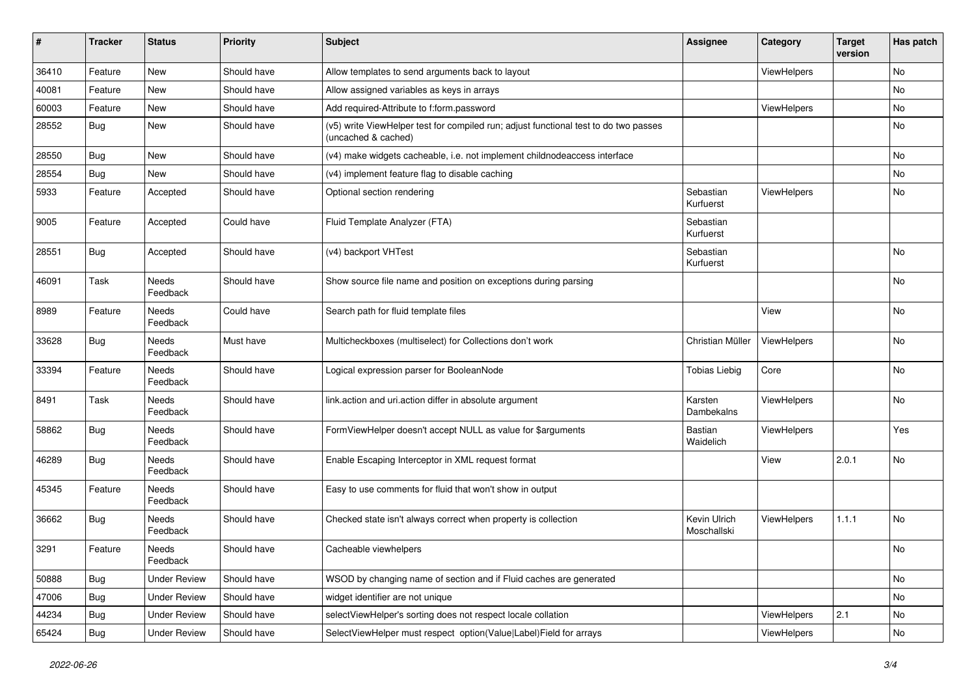| #     | <b>Tracker</b> | <b>Status</b>       | <b>Priority</b> | Subject                                                                                                     | <b>Assignee</b>             | Category    | <b>Target</b><br>version | Has patch |
|-------|----------------|---------------------|-----------------|-------------------------------------------------------------------------------------------------------------|-----------------------------|-------------|--------------------------|-----------|
| 36410 | Feature        | New                 | Should have     | Allow templates to send arguments back to layout                                                            |                             | ViewHelpers |                          | No        |
| 40081 | Feature        | New                 | Should have     | Allow assigned variables as keys in arrays                                                                  |                             |             |                          | No        |
| 60003 | Feature        | New                 | Should have     | Add required-Attribute to f:form.password                                                                   |                             | ViewHelpers |                          | No        |
| 28552 | Bug            | New                 | Should have     | (v5) write ViewHelper test for compiled run; adjust functional test to do two passes<br>(uncached & cached) |                             |             |                          | No        |
| 28550 | Bug            | New                 | Should have     | (v4) make widgets cacheable, i.e. not implement childnodeaccess interface                                   |                             |             |                          | <b>No</b> |
| 28554 | Bug            | New                 | Should have     | (v4) implement feature flag to disable caching                                                              |                             |             |                          | No        |
| 5933  | Feature        | Accepted            | Should have     | Optional section rendering                                                                                  | Sebastian<br>Kurfuerst      | ViewHelpers |                          | No        |
| 9005  | Feature        | Accepted            | Could have      | Fluid Template Analyzer (FTA)                                                                               | Sebastian<br>Kurfuerst      |             |                          |           |
| 28551 | <b>Bug</b>     | Accepted            | Should have     | (v4) backport VHTest                                                                                        | Sebastian<br>Kurfuerst      |             |                          | No        |
| 46091 | Task           | Needs<br>Feedback   | Should have     | Show source file name and position on exceptions during parsing                                             |                             |             |                          | No        |
| 8989  | Feature        | Needs<br>Feedback   | Could have      | Search path for fluid template files                                                                        |                             | View        |                          | No        |
| 33628 | Bug            | Needs<br>Feedback   | Must have       | Multicheckboxes (multiselect) for Collections don't work                                                    | Christian Müller            | ViewHelpers |                          | No        |
| 33394 | Feature        | Needs<br>Feedback   | Should have     | Logical expression parser for BooleanNode                                                                   | <b>Tobias Liebig</b>        | Core        |                          | No        |
| 8491  | Task           | Needs<br>Feedback   | Should have     | link.action and uri.action differ in absolute argument                                                      | Karsten<br>Dambekalns       | ViewHelpers |                          | No        |
| 58862 | Bug            | Needs<br>Feedback   | Should have     | FormViewHelper doesn't accept NULL as value for \$arguments                                                 | <b>Bastian</b><br>Waidelich | ViewHelpers |                          | Yes       |
| 46289 | <b>Bug</b>     | Needs<br>Feedback   | Should have     | Enable Escaping Interceptor in XML request format                                                           |                             | View        | 2.0.1                    | No        |
| 45345 | Feature        | Needs<br>Feedback   | Should have     | Easy to use comments for fluid that won't show in output                                                    |                             |             |                          |           |
| 36662 | Bug            | Needs<br>Feedback   | Should have     | Checked state isn't always correct when property is collection                                              | Kevin Ulrich<br>Moschallski | ViewHelpers | 1.1.1                    | <b>No</b> |
| 3291  | Feature        | Needs<br>Feedback   | Should have     | Cacheable viewhelpers                                                                                       |                             |             |                          | No        |
| 50888 | <b>Bug</b>     | <b>Under Review</b> | Should have     | WSOD by changing name of section and if Fluid caches are generated                                          |                             |             |                          | No        |
| 47006 | <b>Bug</b>     | <b>Under Review</b> | Should have     | widget identifier are not unique                                                                            |                             |             |                          | No        |
| 44234 | <b>Bug</b>     | <b>Under Review</b> | Should have     | selectViewHelper's sorting does not respect locale collation                                                |                             | ViewHelpers | 2.1                      | No        |
| 65424 | Bug            | <b>Under Review</b> | Should have     | SelectViewHelper must respect option(Value Label)Field for arrays                                           |                             | ViewHelpers |                          | No        |